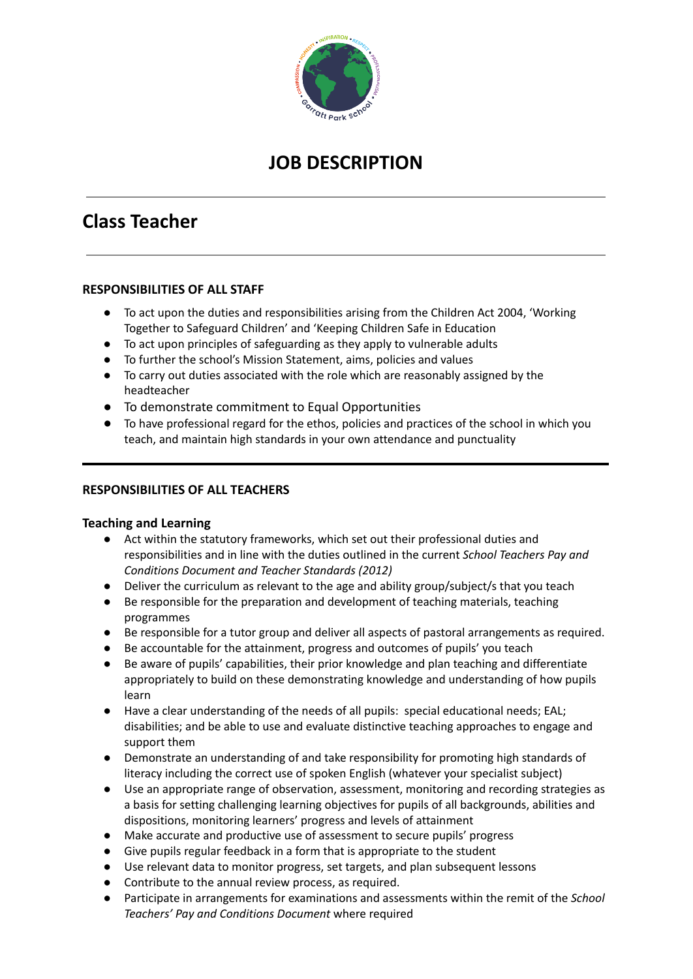

# **JOB DESCRIPTION**

# **Class Teacher**

## **RESPONSIBILITIES OF ALL STAFF**

- To act upon the duties and responsibilities arising from the Children Act 2004, 'Working Together to Safeguard Children' and 'Keeping Children Safe in Education
- To act upon principles of safeguarding as they apply to vulnerable adults
- To further the school's Mission Statement, aims, policies and values
- To carry out duties associated with the role which are reasonably assigned by the headteacher
- To demonstrate commitment to Equal Opportunities
- To have professional regard for the ethos, policies and practices of the school in which you teach, and maintain high standards in your own attendance and punctuality

#### **RESPONSIBILITIES OF ALL TEACHERS**

#### **Teaching and Learning**

- Act within the statutory frameworks, which set out their professional duties and responsibilities and in line with the duties outlined in the current *School Teachers Pay and Conditions Document and Teacher Standards (2012)*
- Deliver the curriculum as relevant to the age and ability group/subject/s that you teach
- Be responsible for the preparation and development of teaching materials, teaching programmes
- Be responsible for a tutor group and deliver all aspects of pastoral arrangements as required.
- Be accountable for the attainment, progress and outcomes of pupils' you teach
- Be aware of pupils' capabilities, their prior knowledge and plan teaching and differentiate appropriately to build on these demonstrating knowledge and understanding of how pupils learn
- Have a clear understanding of the needs of all pupils: special educational needs; EAL; disabilities; and be able to use and evaluate distinctive teaching approaches to engage and support them
- Demonstrate an understanding of and take responsibility for promoting high standards of literacy including the correct use of spoken English (whatever your specialist subject)
- Use an appropriate range of observation, assessment, monitoring and recording strategies as a basis for setting challenging learning objectives for pupils of all backgrounds, abilities and dispositions, monitoring learners' progress and levels of attainment
- Make accurate and productive use of assessment to secure pupils' progress
- Give pupils regular feedback in a form that is appropriate to the student
- Use relevant data to monitor progress, set targets, and plan subsequent lessons
- Contribute to the annual review process, as required.
- Participate in arrangements for examinations and assessments within the remit of the *School Teachers' Pay and Conditions Document* where required